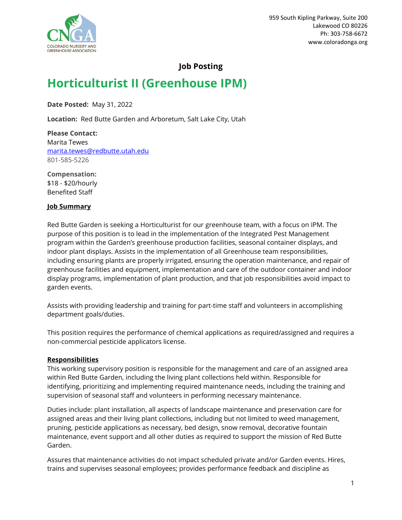

# **Job Posting**

# **Horticulturist II (Greenhouse IPM)**

**Date Posted:** May 31, 2022

**Location:** Red Butte Garden and Arboretum, Salt Lake City, Utah

**Please Contact:** Marita Tewes [marita.tewes@redbutte.utah.edu](mailto:marita.tewes@redbutte.utah.edu) 801-585-5226

**Compensation:** \$18 - \$20/hourly Benefited Staff

#### **Job Summary**

Red Butte Garden is seeking a Horticulturist for our greenhouse team, with a focus on IPM. The purpose of this position is to lead in the implementation of the Integrated Pest Management program within the Garden's greenhouse production facilities, seasonal container displays, and indoor plant displays. Assists in the implementation of all Greenhouse team responsibilities, including ensuring plants are properly irrigated, ensuring the operation maintenance, and repair of greenhouse facilities and equipment, implementation and care of the outdoor container and indoor display programs, implementation of plant production, and that job responsibilities avoid impact to garden events.

Assists with providing leadership and training for part-time staff and volunteers in accomplishing department goals/duties.

This position requires the performance of chemical applications as required/assigned and requires a non-commercial pesticide applicators license.

## **Responsibilities**

This working supervisory position is responsible for the management and care of an assigned area within Red Butte Garden, including the living plant collections held within. Responsible for identifying, prioritizing and implementing required maintenance needs, including the training and supervision of seasonal staff and volunteers in performing necessary maintenance.

Duties include: plant installation, all aspects of landscape maintenance and preservation care for assigned areas and their living plant collections, including but not limited to weed management, pruning, pesticide applications as necessary, bed design, snow removal, decorative fountain maintenance, event support and all other duties as required to support the mission of Red Butte Garden.

Assures that maintenance activities do not impact scheduled private and/or Garden events. Hires, trains and supervises seasonal employees; provides performance feedback and discipline as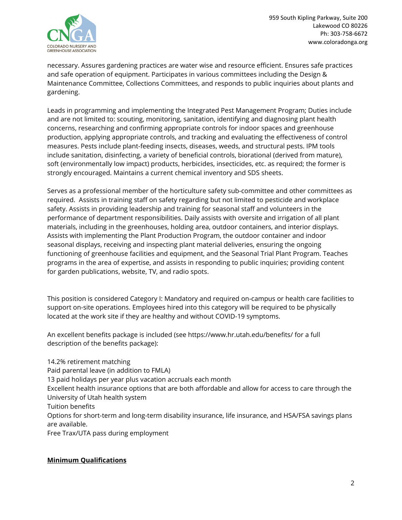

necessary. Assures gardening practices are water wise and resource efficient. Ensures safe practices and safe operation of equipment. Participates in various committees including the Design & Maintenance Committee, Collections Committees, and responds to public inquiries about plants and gardening.

Leads in programming and implementing the Integrated Pest Management Program; Duties include and are not limited to: scouting, monitoring, sanitation, identifying and diagnosing plant health concerns, researching and confirming appropriate controls for indoor spaces and greenhouse production, applying appropriate controls, and tracking and evaluating the effectiveness of control measures. Pests include plant-feeding insects, diseases, weeds, and structural pests. IPM tools include sanitation, disinfecting, a variety of beneficial controls, biorational (derived from mature), soft (environmentally low impact) products, herbicides, insecticides, etc. as required; the former is strongly encouraged. Maintains a current chemical inventory and SDS sheets.

Serves as a professional member of the horticulture safety sub-committee and other committees as required. Assists in training staff on safety regarding but not limited to pesticide and workplace safety. Assists in providing leadership and training for seasonal staff and volunteers in the performance of department responsibilities. Daily assists with oversite and irrigation of all plant materials, including in the greenhouses, holding area, outdoor containers, and interior displays. Assists with implementing the Plant Production Program, the outdoor container and indoor seasonal displays, receiving and inspecting plant material deliveries, ensuring the ongoing functioning of greenhouse facilities and equipment, and the Seasonal Trial Plant Program. Teaches programs in the area of expertise, and assists in responding to public inquiries; providing content for garden publications, website, TV, and radio spots.

This position is considered Category I: Mandatory and required on-campus or health care facilities to support on-site operations. Employees hired into this category will be required to be physically located at the work site if they are healthy and without COVID-19 symptoms.

An excellent benefits package is included (see https://www.hr.utah.edu/benefits/ for a full description of the benefits package):

14.2% retirement matching Paid parental leave (in addition to FMLA) 13 paid holidays per year plus vacation accruals each month Excellent health insurance options that are both affordable and allow for access to care through the University of Utah health system Tuition benefits Options for short-term and long-term disability insurance, life insurance, and HSA/FSA savings plans are available. Free Trax/UTA pass during employment

## **Minimum Qualifications**